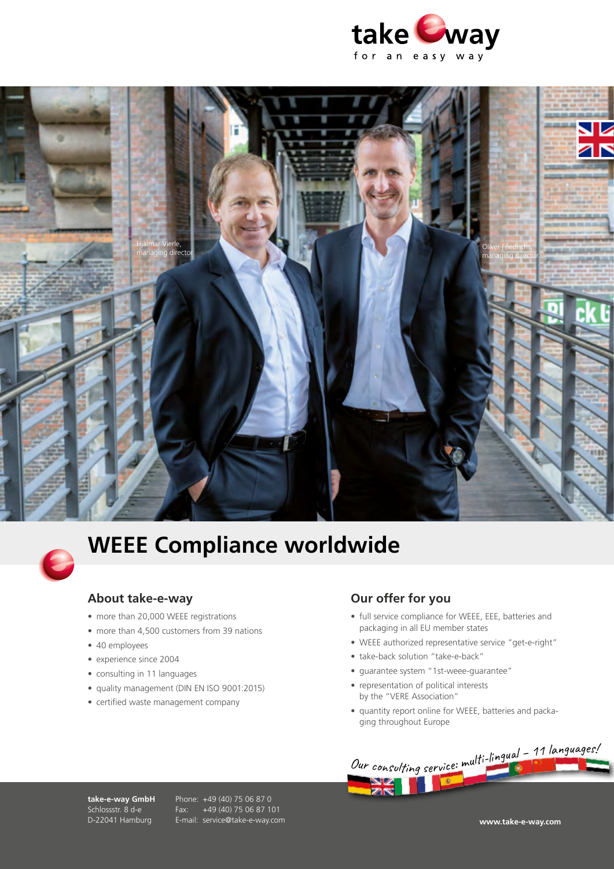





## **WEEE Compliance worldwide**

## **About take-e-way**

- more than 20,000 WEEE registrations
- more than 4,500 customers from 39 nations
- 40 employees
- experience since 2004
- consulting in 11 languages
- quality management (DIN EN ISO 9001:2015)
- certified waste management company

## **Our offer for you**

- full service compliance for WEEE, EEE, batteries and packaging in all EU member states
- WEEE authorized representative service "get-e-right"
- take-back solution "take-e-back"
- guarantee system "1st-weee-guarantee"
- representation of political interests by the "VERE Association"
- quantity report online for WEEE, batteries and packaging throughout Europe



**take-e-way GmbH** Schlossstr. 8 d-e D-22041 Hamburg

Phone: +49 (40) 75 06 87 0 Fax: +49 (40) 75 06 87 101 E-mail: service@take-e-way.com **www.take-e-way.com**